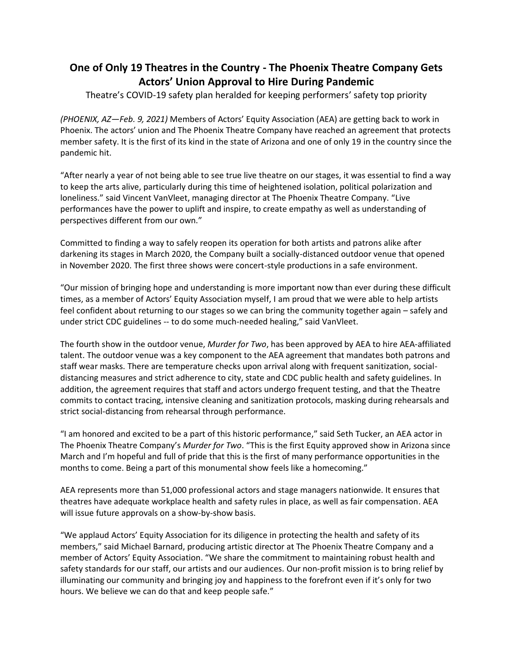## **One of Only 19 Theatres in the Country - The Phoenix Theatre Company Gets Actors' Union Approval to Hire During Pandemic**

Theatre's COVID-19 safety plan heralded for keeping performers' safety top priority

*(PHOENIX, AZ—Feb. 9, 2021)* Members of Actors' Equity Association (AEA) are getting back to work in Phoenix. The actors' union and The Phoenix Theatre Company have reached an agreement that protects member safety. It is the first of its kind in the state of Arizona and one of only 19 in the country since the pandemic hit.

"After nearly a year of not being able to see true live theatre on our stages, it was essential to find a way to keep the arts alive, particularly during this time of heightened isolation, political polarization and loneliness." said Vincent VanVleet, managing director at The Phoenix Theatre Company. "Live performances have the power to uplift and inspire, to create empathy as well as understanding of perspectives different from our own."

Committed to finding a way to safely reopen its operation for both artists and patrons alike after darkening its stages in March 2020, the Company built a socially-distanced outdoor venue that opened in November 2020. The first three shows were concert-style productions in a safe environment.

"Our mission of bringing hope and understanding is more important now than ever during these difficult times, as a member of Actors' Equity Association myself, I am proud that we were able to help artists feel confident about returning to our stages so we can bring the community together again – safely and under strict CDC guidelines -- to do some much-needed healing," said VanVleet.

The fourth show in the outdoor venue, *Murder for Two*, has been approved by AEA to hire AEA-affiliated talent. The outdoor venue was a key component to the AEA agreement that mandates both patrons and staff wear masks. There are temperature checks upon arrival along with frequent sanitization, socialdistancing measures and strict adherence to city, state and CDC public health and safety guidelines. In addition, the agreement requires that staff and actors undergo frequent testing, and that the Theatre commits to contact tracing, intensive cleaning and sanitization protocols, masking during rehearsals and strict social-distancing from rehearsal through performance.

"I am honored and excited to be a part of this historic performance," said Seth Tucker, an AEA actor in The Phoenix Theatre Company's *Murder for Two*. "This is the first Equity approved show in Arizona since March and I'm hopeful and full of pride that this is the first of many performance opportunities in the months to come. Being a part of this monumental show feels like a homecoming."

AEA represents more than 51,000 professional actors and stage managers nationwide. It ensures that theatres have adequate workplace health and safety rules in place, as well as fair compensation. AEA will issue future approvals on a show-by-show basis.

"We applaud Actors' Equity Association for its diligence in protecting the health and safety of its members," said Michael Barnard, producing artistic director at The Phoenix Theatre Company and a member of Actors' Equity Association. "We share the commitment to maintaining robust health and safety standards for our staff, our artists and our audiences. Our non-profit mission is to bring relief by illuminating our community and bringing joy and happiness to the forefront even if it's only for two hours. We believe we can do that and keep people safe."